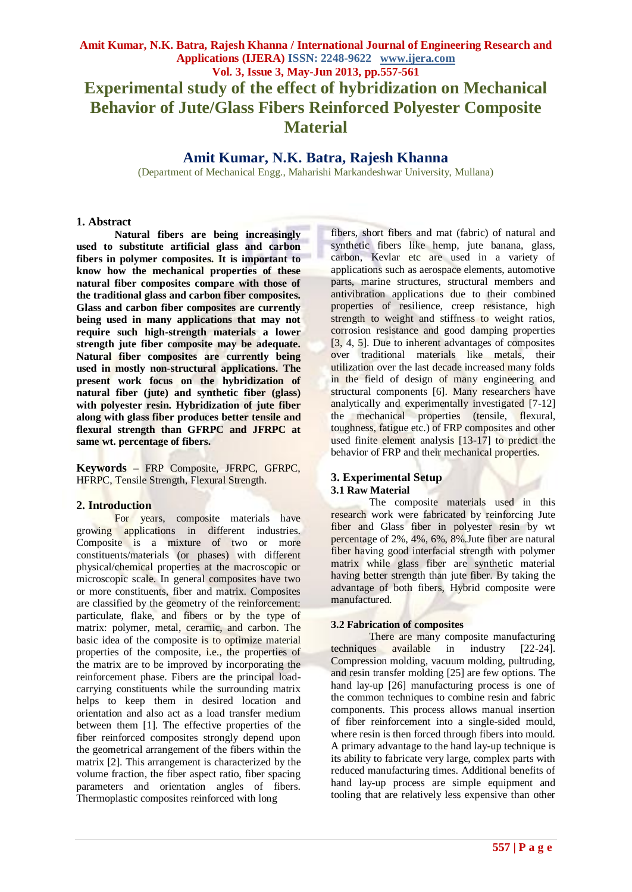# **Amit Kumar, N.K. Batra, Rajesh Khanna**

(Department of Mechanical Engg., Maharishi Markandeshwar University, Mullana)

#### **1. Abstract**

**Natural fibers are being increasingly used to substitute artificial glass and carbon fibers in polymer composites. It is important to know how the mechanical properties of these natural fiber composites compare with those of the traditional glass and carbon fiber composites. Glass and carbon fiber composites are currently being used in many applications that may not require such high-strength materials a lower strength jute fiber composite may be adequate. Natural fiber composites are currently being used in mostly non-structural applications. The present work focus on the hybridization of natural fiber (jute) and synthetic fiber (glass) with polyester resin. Hybridization of jute fiber along with glass fiber produces better tensile and flexural strength than GFRPC and JFRPC at same wt. percentage of fibers.** 

**Keywords –** FRP Composite, JFRPC, GFRPC, HFRPC, Tensile Strength, Flexural Strength.

## **2. Introduction**

For years, composite materials have growing applications in different industries. Composite is a mixture of two or more constituents/materials (or phases) with different physical/chemical properties at the macroscopic or microscopic scale. In general composites have two or more constituents, fiber and matrix. Composites are classified by the geometry of the reinforcement: particulate, flake, and fibers or by the type of matrix: polymer, metal, ceramic, and carbon. The basic idea of the composite is to optimize material properties of the composite, i.e., the properties of the matrix are to be improved by incorporating the reinforcement phase. Fibers are the principal loadcarrying constituents while the surrounding matrix helps to keep them in desired location and orientation and also act as a load transfer medium between them [1]. The effective properties of the fiber reinforced composites strongly depend upon the geometrical arrangement of the fibers within the matrix [2]. This arrangement is characterized by the volume fraction, the fiber aspect ratio, fiber spacing parameters and orientation angles of fibers. Thermoplastic composites reinforced with long

fibers, short fibers and mat (fabric) of natural and synthetic fibers like hemp, jute banana, glass, carbon, Kevlar etc are used in a variety of applications such as aerospace elements, automotive parts, marine structures, structural members and antivibration applications due to their combined properties of resilience, creep resistance, high strength to weight and stiffness to weight ratios, corrosion resistance and good damping properties [3, 4, 5]. Due to inherent advantages of composites over traditional materials like metals, their utilization over the last decade increased many folds in the field of design of many engineering and structural components [6]. Many researchers have analytically and experimentally investigated [7-12] the mechanical properties (tensile, flexural, toughness, fatigue etc.) of FRP composites and other used finite element analysis [13-17] to predict the behavior of FRP and their mechanical properties.

## **3. Experimental Setup 3.1 Raw Material**

The composite materials used in this research work were fabricated by reinforcing Jute fiber and Glass fiber in polyester resin by wt percentage of 2%, 4%, 6%, 8%.Jute fiber are natural fiber having good interfacial strength with polymer matrix while glass fiber are synthetic material having better strength than jute fiber. By taking the advantage of both fibers, Hybrid composite were manufactured.

## **3.2 Fabrication of composites**

There are many composite manufacturing<br>es available in industry [22-24]. techniques available in industry [22-24]. Compression molding, vacuum molding, pultruding, and resin transfer molding [25] are few options. The hand lay-up [26] manufacturing process is one of the common techniques to combine resin and fabric components. This process allows manual insertion of fiber reinforcement into a single-sided mould, where resin is then forced through fibers into mould. A primary advantage to the hand lay-up technique is its ability to fabricate very large, complex parts with reduced manufacturing times. Additional benefits of hand lay-up process are simple equipment and tooling that are relatively less expensive than other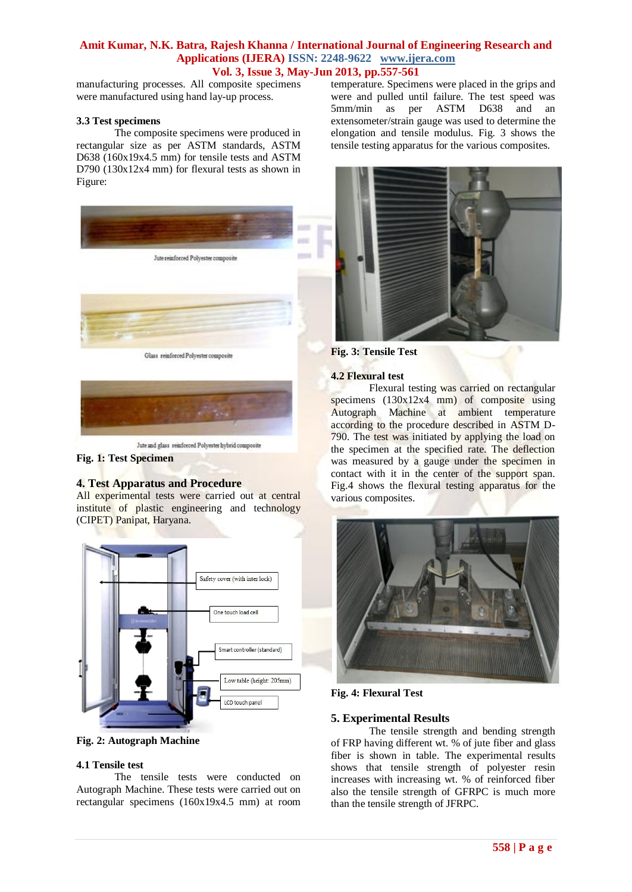manufacturing processes. All composite specimens were manufactured using hand lay-up process.

#### **3.3 Test specimens**

The composite specimens were produced in rectangular size as per ASTM standards, ASTM D638 (160x19x4.5 mm) for tensile tests and ASTM D790 (130x12x4 mm) for flexural tests as shown in Figure:





**Fig. 1: Test Specimen**

## **4. Test Apparatus and Procedure**

All experimental tests were carried out at central institute of plastic engineering and technology (CIPET) Panipat, Haryana.



**Fig. 2: Autograph Machine**

## **4.1 Tensile test**

The tensile tests were conducted on Autograph Machine. These tests were carried out on rectangular specimens (160x19x4.5 mm) at room temperature. Specimens were placed in the grips and were and pulled until failure. The test speed was 5mm/min as per ASTM D638 and an extensometer/strain gauge was used to determine the elongation and tensile modulus. Fig. 3 shows the tensile testing apparatus for the various composites.



**Fig. 3: Tensile Test**

#### **4.2 Flexural test**

Flexural testing was carried on rectangular specimens  $(130x12x4$  mm) of composite using Autograph Machine at ambient temperature according to the procedure described in ASTM D-790. The test was initiated by applying the load on the specimen at the specified rate. The deflection was measured by a gauge under the specimen in contact with it in the center of the support span. Fig.4 shows the flexural testing apparatus for the various composites.



**Fig. 4: Flexural Test**

## **5. Experimental Results**

The tensile strength and bending strength of FRP having different wt. % of jute fiber and glass fiber is shown in table. The experimental results shows that tensile strength of polyester resin increases with increasing wt. % of reinforced fiber also the tensile strength of GFRPC is much more than the tensile strength of JFRPC.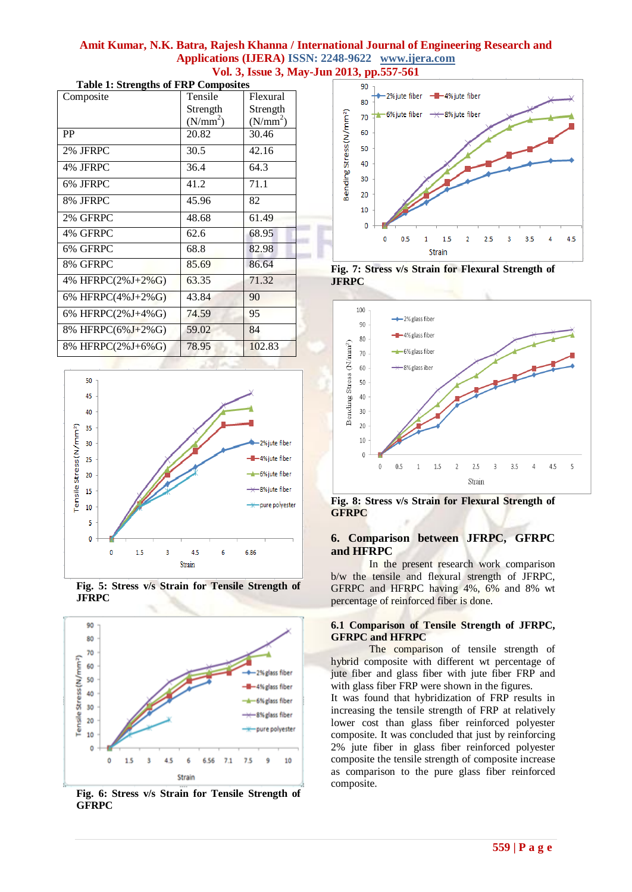| Composite         | Tensile              | Flexural             |
|-------------------|----------------------|----------------------|
|                   | Strength             | Strength             |
|                   | (N/mm <sup>2</sup> ) | (N/mm <sup>2</sup> ) |
| PP                | 20.82                | 30.46                |
| 2% JFRPC          | 30.5                 | 42.16                |
| 4% JFRPC          | 36.4                 | 64.3                 |
| 6% JFRPC          | 41.2                 | 71.1                 |
| 8% JFRPC          | 45.96                | 82                   |
| 2% GFRPC          | 48.68                | 61.49                |
| 4% GFRPC          | 62.6                 | 68.95                |
| 6% GFRPC          | 68.8                 | 82.98                |
| 8% GFRPC          | 85.69                | 86.64                |
| 4% HFRPC(2%J+2%G) | 63.35                | 71.32                |
| 6% HFRPC(4%J+2%G) | 43.84                | 90                   |
| 6% HFRPC(2%J+4%G) | 74.59                | 95                   |
| 8% HFRPC(6%J+2%G) | 59.02                | 84                   |
| 8% HFRPC(2%J+6%G) | 78.95                | 102.83               |

**Table 1: Strengths of FRP Composites**



**Fig. 5: Stress v/s Strain for Tensile Strength of JFRPC**



**Fig. 6: Stress v/s Strain for Tensile Strength of GFRPC**



**Fig. 7: Stress v/s Strain for Flexural Strength of JFRPC**



**Fig. 8: Stress v/s Strain for Flexural Strength of GFRPC**

## **6. Comparison between JFRPC, GFRPC and HFRPC**

In the present research work comparison b/w the tensile and flexural strength of JFRPC, GFRPC and HFRPC having 4%, 6% and 8% wt percentage of reinforced fiber is done.

## **6.1 Comparison of Tensile Strength of JFRPC, GFRPC and HFRPC**

The comparison of tensile strength of hybrid composite with different wt percentage of jute fiber and glass fiber with jute fiber FRP and with glass fiber FRP were shown in the figures.

It was found that hybridization of FRP results in increasing the tensile strength of FRP at relatively lower cost than glass fiber reinforced polyester composite. It was concluded that just by reinforcing 2% jute fiber in glass fiber reinforced polyester composite the tensile strength of composite increase as comparison to the pure glass fiber reinforced composite.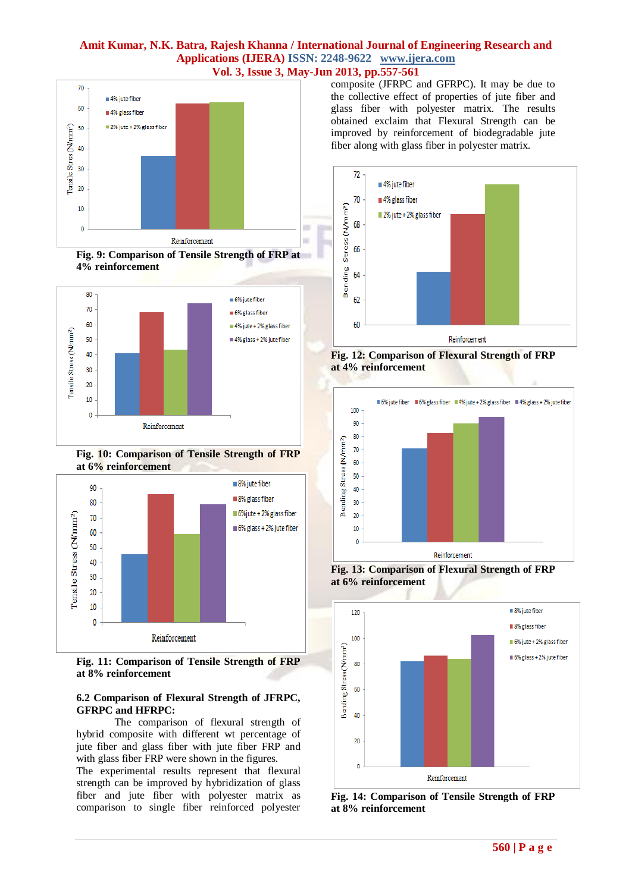

**Fig. 9: Comparison of Tensile Strength of FRP at 4% reinforcement**



**Fig. 10: Comparison of Tensile Strength of FRP at 6% reinforcement**



**Fig. 11: Comparison of Tensile Strength of FRP at 8% reinforcement**

## **6.2 Comparison of Flexural Strength of JFRPC, GFRPC and HFRPC:**

The comparison of flexural strength of hybrid composite with different wt percentage of jute fiber and glass fiber with jute fiber FRP and with glass fiber FRP were shown in the figures.

The experimental results represent that flexural strength can be improved by hybridization of glass fiber and jute fiber with polyester matrix as comparison to single fiber reinforced polyester composite (JFRPC and GFRPC). It may be due to the collective effect of properties of jute fiber and glass fiber with polyester matrix. The results obtained exclaim that Flexural Strength can be improved by reinforcement of biodegradable jute fiber along with glass fiber in polyester matrix.







**Fig. 13: Comparison of Flexural Strength of FRP at 6% reinforcement**



**Fig. 14: Comparison of Tensile Strength of FRP at 8% reinforcement**